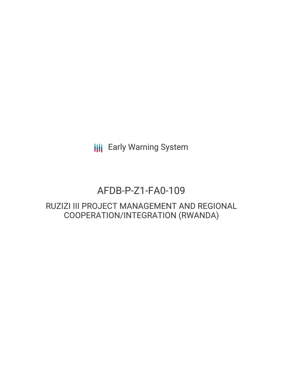**III** Early Warning System

# AFDB-P-Z1-FA0-109

# RUZIZI III PROJECT MANAGEMENT AND REGIONAL COOPERATION/INTEGRATION (RWANDA)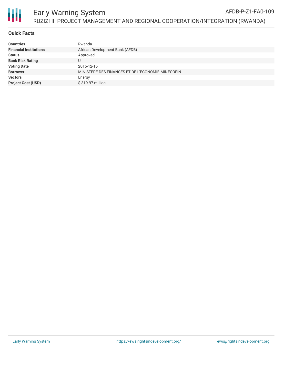

#### Early Warning System RUZIZI III PROJECT MANAGEMENT AND REGIONAL COOPERATION/INTEGRATION (RWANDA) AFDB-P-Z1-FA0-109

### **Quick Facts**

| <b>Countries</b>              | Rwanda                                            |
|-------------------------------|---------------------------------------------------|
| <b>Financial Institutions</b> | African Development Bank (AFDB)                   |
| <b>Status</b>                 | Approved                                          |
| <b>Bank Risk Rating</b>       |                                                   |
| <b>Voting Date</b>            | 2015-12-16                                        |
| <b>Borrower</b>               | MINISTERE DES FINANCES ET DE L'ECONOMIE-MINECOFIN |
| <b>Sectors</b>                | Energy                                            |
| <b>Project Cost (USD)</b>     | \$319.97 million                                  |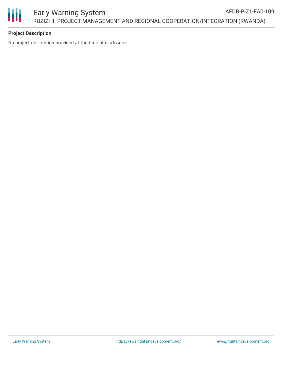

# **Project Description**

No project description provided at the time of disclosure.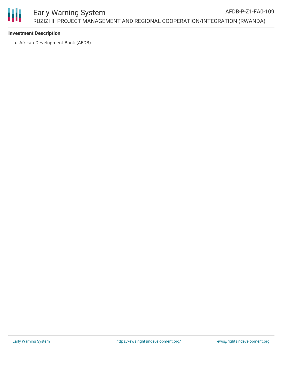

# **Investment Description**

African Development Bank (AFDB)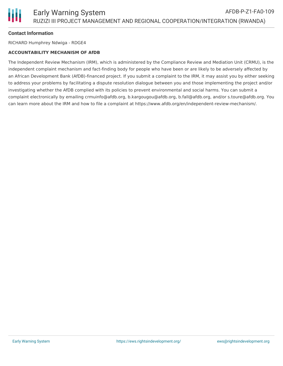

# **Contact Information**

RICHARD Humphrey Ndwiga - RDGE4

#### **ACCOUNTABILITY MECHANISM OF AfDB**

The Independent Review Mechanism (IRM), which is administered by the Compliance Review and Mediation Unit (CRMU), is the independent complaint mechanism and fact-finding body for people who have been or are likely to be adversely affected by an African Development Bank (AfDB)-financed project. If you submit a complaint to the IRM, it may assist you by either seeking to address your problems by facilitating a dispute resolution dialogue between you and those implementing the project and/or investigating whether the AfDB complied with its policies to prevent environmental and social harms. You can submit a complaint electronically by emailing crmuinfo@afdb.org, b.kargougou@afdb.org, b.fall@afdb.org, and/or s.toure@afdb.org. You can learn more about the IRM and how to file a complaint at https://www.afdb.org/en/independent-review-mechanism/.